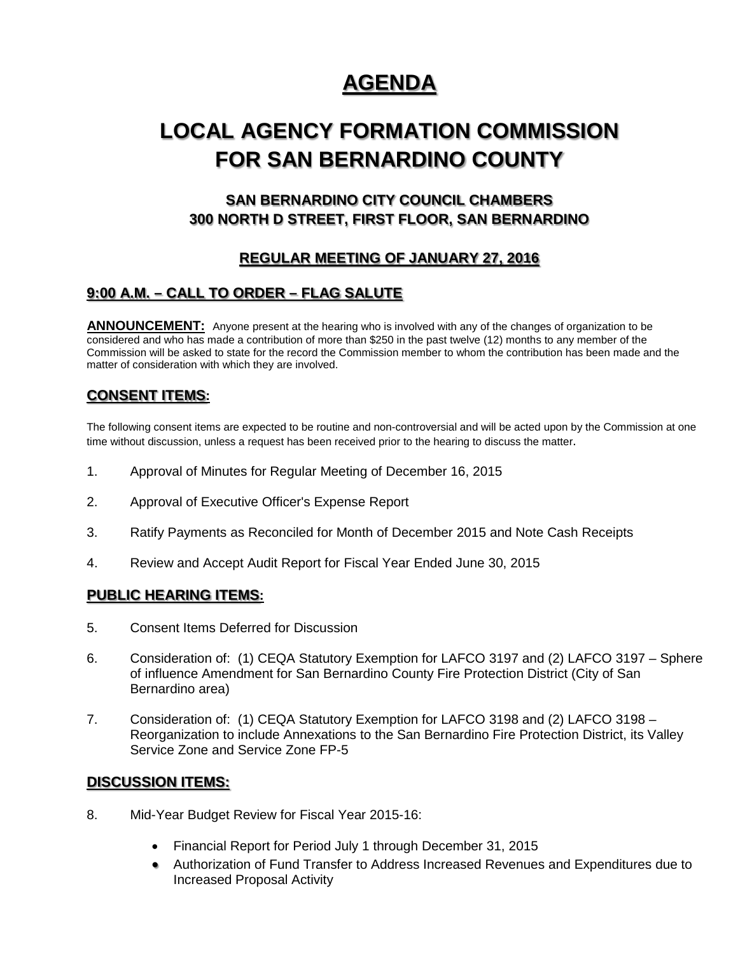## **AGENDA**

# **LOCAL AGENCY FORMATION COMMISSION FOR SAN BERNARDINO COUNTY**

## **SAN BERNARDINO CITY COUNCIL CHAMBERS 300 NORTH D STREET, FIRST FLOOR, SAN BERNARDINO**

## **REGULAR MEETING OF JANUARY 27, 2016**

## **9:00 A.M. – CALL TO ORDER – FLAG SALUTE**

**ANNOUNCEMENT:** Anyone present at the hearing who is involved with any of the changes of organization to be considered and who has made a contribution of more than \$250 in the past twelve (12) months to any member of the Commission will be asked to state for the record the Commission member to whom the contribution has been made and the matter of consideration with which they are involved.

### **CONSENT ITEMS:**

The following consent items are expected to be routine and non-controversial and will be acted upon by the Commission at one time without discussion, unless a request has been received prior to the hearing to discuss the matter.

- 1. Approval of Minutes for Regular Meeting of December 16, 2015
- 2. Approval of Executive Officer's Expense Report
- 3. Ratify Payments as Reconciled for Month of December 2015 and Note Cash Receipts
- 4. Review and Accept Audit Report for Fiscal Year Ended June 30, 2015

#### **PUBLIC HEARING ITEMS:**

- 5. Consent Items Deferred for Discussion
- 6. Consideration of: (1) CEQA Statutory Exemption for LAFCO 3197 and (2) LAFCO 3197 Sphere of influence Amendment for San Bernardino County Fire Protection District (City of San Bernardino area)
- 7. Consideration of: (1) CEQA Statutory Exemption for LAFCO 3198 and (2) LAFCO 3198 Reorganization to include Annexations to the San Bernardino Fire Protection District, its Valley Service Zone and Service Zone FP-5

#### **DISCUSSION ITEMS:**

- 8. Mid-Year Budget Review for Fiscal Year 2015-16:
	- Financial Report for Period July 1 through December 31, 2015
	- Authorization of Fund Transfer to Address Increased Revenues and Expenditures due to Increased Proposal Activity